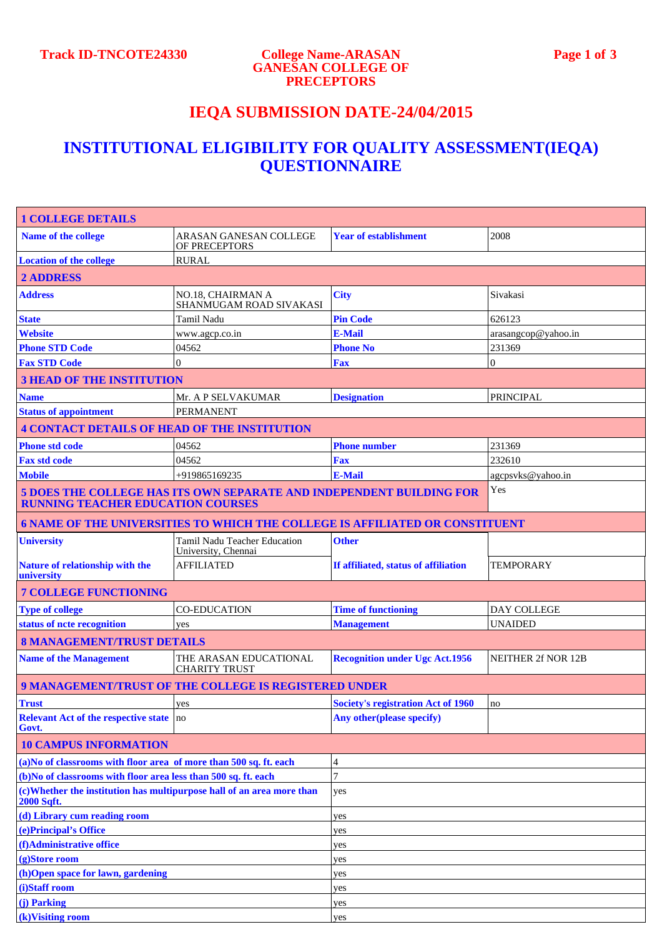## **GANESAN COLLEGE OF PRECEPTORS**

# **IEQA SUBMISSION DATE-24/04/2015**

### **INSTITUTIONAL ELIGIBILITY FOR QUALITY ASSESSMENT(IEQA) QUESTIONNAIRE**

| <b>1 COLLEGE DETAILS</b>                                                                                                |                                                                                         |                                           |                     |  |  |  |  |  |
|-------------------------------------------------------------------------------------------------------------------------|-----------------------------------------------------------------------------------------|-------------------------------------------|---------------------|--|--|--|--|--|
| <b>Name of the college</b>                                                                                              | ARASAN GANESAN COLLEGE<br>OF PRECEPTORS                                                 | 2008                                      |                     |  |  |  |  |  |
| <b>Location of the college</b>                                                                                          | <b>RURAL</b>                                                                            |                                           |                     |  |  |  |  |  |
| <b>2 ADDRESS</b>                                                                                                        |                                                                                         |                                           |                     |  |  |  |  |  |
| <b>Address</b>                                                                                                          | NO.18, CHAIRMAN A<br>SHANMUGAM ROAD SIVAKASI                                            | <b>City</b>                               | Sivakasi            |  |  |  |  |  |
| <b>State</b>                                                                                                            | Tamil Nadu                                                                              | <b>Pin Code</b>                           | 626123              |  |  |  |  |  |
| <b>Website</b>                                                                                                          | www.agcp.co.in                                                                          | <b>E-Mail</b>                             | arasangcop@yahoo.in |  |  |  |  |  |
| <b>Phone STD Code</b>                                                                                                   | 04562                                                                                   | <b>Phone No</b>                           | 231369              |  |  |  |  |  |
| <b>Fax STD Code</b>                                                                                                     | $\Omega$                                                                                | <b>Fax</b>                                | $\overline{0}$      |  |  |  |  |  |
| <b>3 HEAD OF THE INSTITUTION</b>                                                                                        |                                                                                         |                                           |                     |  |  |  |  |  |
| <b>Name</b>                                                                                                             | Mr. A P SELVAKUMAR                                                                      | <b>Designation</b>                        | PRINCIPAL           |  |  |  |  |  |
| <b>Status of appointment</b>                                                                                            | PERMANENT                                                                               |                                           |                     |  |  |  |  |  |
| <b>4 CONTACT DETAILS OF HEAD OF THE INSTITUTION</b>                                                                     |                                                                                         |                                           |                     |  |  |  |  |  |
| <b>Phone std code</b>                                                                                                   | 04562                                                                                   | <b>Phone number</b>                       | 231369              |  |  |  |  |  |
| <b>Fax std code</b>                                                                                                     | 04562                                                                                   | <b>Fax</b>                                | 232610              |  |  |  |  |  |
| <b>Mobile</b>                                                                                                           | +919865169235                                                                           | <b>E-Mail</b>                             | agcpsyks@yahoo.in   |  |  |  |  |  |
| <b>5 DOES THE COLLEGE HAS ITS OWN SEPARATE AND INDEPENDENT BUILDING FOR</b><br><b>RUNNING TEACHER EDUCATION COURSES</b> |                                                                                         | Yes                                       |                     |  |  |  |  |  |
| <b>6 NAME OF THE UNIVERSITIES TO WHICH THE COLLEGE IS AFFILIATED OR CONSTITUENT</b>                                     |                                                                                         |                                           |                     |  |  |  |  |  |
| <b>University</b>                                                                                                       | Tamil Nadu Teacher Education<br>University, Chennai                                     | <b>Other</b>                              |                     |  |  |  |  |  |
| Nature of relationship with the<br>university                                                                           | <b>AFFILIATED</b>                                                                       | If affiliated, status of affiliation      | <b>TEMPORARY</b>    |  |  |  |  |  |
| <b>7 COLLEGE FUNCTIONING</b>                                                                                            |                                                                                         |                                           |                     |  |  |  |  |  |
| <b>Type of college</b>                                                                                                  | <b>CO-EDUCATION</b>                                                                     | <b>Time of functioning</b>                | DAY COLLEGE         |  |  |  |  |  |
| status of ncte recognition                                                                                              | yes                                                                                     | <b>Management</b>                         | <b>UNAIDED</b>      |  |  |  |  |  |
| <b>8 MANAGEMENT/TRUST DETAILS</b>                                                                                       |                                                                                         |                                           |                     |  |  |  |  |  |
| <b>Name of the Management</b>                                                                                           | THE ARASAN EDUCATIONAL<br><b>Recognition under Ugc Act.1956</b><br><b>CHARITY TRUST</b> |                                           | NEITHER 2f NOR 12B  |  |  |  |  |  |
|                                                                                                                         | <b>9 MANAGEMENT/TRUST OF THE COLLEGE IS REGISTERED UNDER</b>                            |                                           |                     |  |  |  |  |  |
| <b>Trust</b>                                                                                                            | yes                                                                                     | <b>Society's registration Act of 1960</b> | no                  |  |  |  |  |  |
| <b>Relevant Act of the respective state</b><br>Govt.                                                                    | <sub>1</sub> no                                                                         | Any other (please specify)                |                     |  |  |  |  |  |
| <b>10 CAMPUS INFORMATION</b>                                                                                            |                                                                                         |                                           |                     |  |  |  |  |  |
| (a) No of classrooms with floor area of more than 500 sq. ft. each                                                      |                                                                                         | 4                                         |                     |  |  |  |  |  |
| (b) No of classrooms with floor area less than 500 sq. ft. each                                                         |                                                                                         | $\overline{7}$                            |                     |  |  |  |  |  |
| (c)Whether the institution has multipurpose hall of an area more than<br>2000 Sqft.                                     |                                                                                         | yes                                       |                     |  |  |  |  |  |
| (d) Library cum reading room                                                                                            |                                                                                         | yes                                       |                     |  |  |  |  |  |
| (e)Principal's Office                                                                                                   |                                                                                         | yes                                       |                     |  |  |  |  |  |
| (f)Administrative office                                                                                                |                                                                                         | yes                                       |                     |  |  |  |  |  |
| (g)Store room                                                                                                           |                                                                                         | yes                                       |                     |  |  |  |  |  |
| (h)Open space for lawn, gardening                                                                                       |                                                                                         | yes                                       |                     |  |  |  |  |  |
| (i)Staff room                                                                                                           |                                                                                         | yes                                       |                     |  |  |  |  |  |
| (j) Parking                                                                                                             |                                                                                         | yes                                       |                     |  |  |  |  |  |
| (k) Visiting room                                                                                                       |                                                                                         | yes                                       |                     |  |  |  |  |  |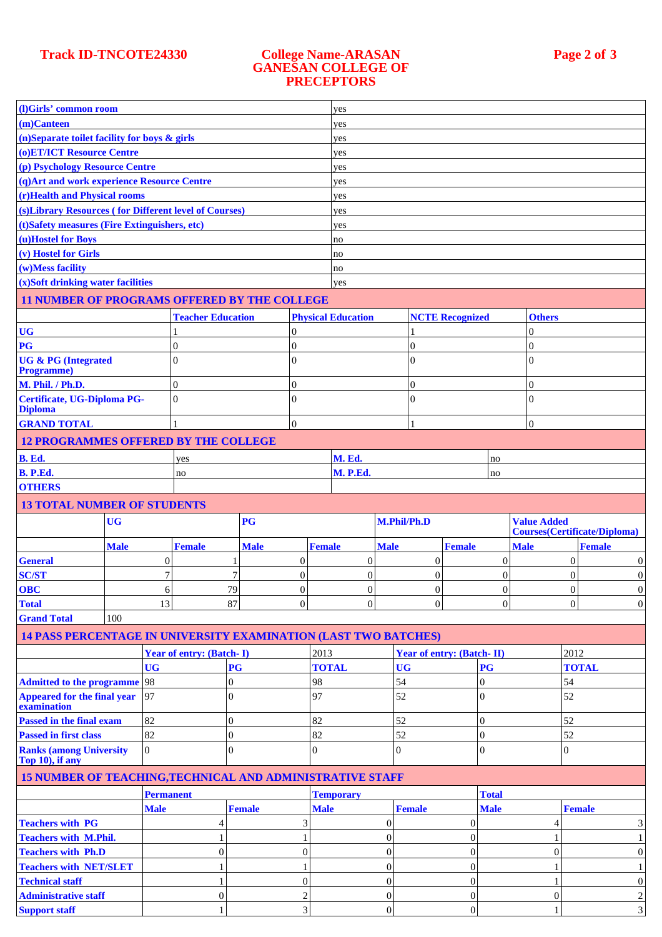### **Track ID-TNCOTE24330 College Name-ARASAN GANESAN COLLEGE OF PRECEPTORS**

| (I)Girls' common room                                                  |              |                  |                                 |                |              | yes              |                  |                           |                  |                  |                                  |                                                           |                  |                |                  |                  |
|------------------------------------------------------------------------|--------------|------------------|---------------------------------|----------------|--------------|------------------|------------------|---------------------------|------------------|------------------|----------------------------------|-----------------------------------------------------------|------------------|----------------|------------------|------------------|
| $(m)$ Canteen                                                          |              |                  |                                 |                | yes          |                  |                  |                           |                  |                  |                                  |                                                           |                  |                |                  |                  |
| $(n)$ Separate toilet facility for boys $\&$ girls                     |              |                  |                                 |                | yes          |                  |                  |                           |                  |                  |                                  |                                                           |                  |                |                  |                  |
| (o)ET/ICT Resource Centre                                              |              |                  |                                 |                | yes          |                  |                  |                           |                  |                  |                                  |                                                           |                  |                |                  |                  |
| $(p)$ Psychology Resource Centre                                       |              |                  |                                 | yes            |              |                  |                  |                           |                  |                  |                                  |                                                           |                  |                |                  |                  |
| (q) Art and work experience Resource Centre                            |              |                  |                                 |                | yes          |                  |                  |                           |                  |                  |                                  |                                                           |                  |                |                  |                  |
| (r)Health and Physical rooms                                           |              |                  |                                 |                |              |                  |                  | yes                       |                  |                  |                                  |                                                           |                  |                |                  |                  |
| (s)Library Resources (for Different level of Courses)                  |              |                  |                                 |                |              |                  |                  | yes                       |                  |                  |                                  |                                                           |                  |                |                  |                  |
| (t)Safety measures (Fire Extinguishers, etc)                           |              |                  |                                 |                | yes          |                  |                  |                           |                  |                  |                                  |                                                           |                  |                |                  |                  |
| (u)Hostel for Boys                                                     |              |                  |                                 |                | no           |                  |                  |                           |                  |                  |                                  |                                                           |                  |                |                  |                  |
| (v) Hostel for Girls                                                   |              |                  |                                 |                |              |                  |                  | no                        |                  |                  |                                  |                                                           |                  |                |                  |                  |
| (w)Mess facility                                                       |              |                  |                                 |                |              | no               |                  |                           |                  |                  |                                  |                                                           |                  |                |                  |                  |
| (x)Soft drinking water facilities                                      |              |                  |                                 |                |              |                  |                  | yes                       |                  |                  |                                  |                                                           |                  |                |                  |                  |
| <b>11 NUMBER OF PROGRAMS OFFERED BY THE COLLEGE</b>                    |              |                  |                                 |                |              |                  |                  |                           |                  |                  |                                  |                                                           |                  |                |                  |                  |
|                                                                        |              |                  | <b>Teacher Education</b>        |                |              |                  |                  | <b>Physical Education</b> |                  |                  | <b>NCTE Recognized</b>           | <b>Others</b>                                             |                  |                |                  |                  |
| <b>UG</b>                                                              |              |                  |                                 |                | $\Omega$     |                  |                  |                           |                  |                  |                                  |                                                           | 0                |                |                  |                  |
| <b>PG</b>                                                              |              |                  | $\theta$                        |                |              | $\Omega$         |                  |                           |                  | $\mathbf{0}$     |                                  |                                                           | $\overline{0}$   |                |                  |                  |
| <b>UG &amp; PG (Integrated</b><br><b>Programme</b> )                   |              |                  | $\Omega$                        |                | 0            |                  |                  |                           |                  | $\Omega$         |                                  |                                                           | $\Omega$         |                |                  |                  |
| <b>M. Phil. / Ph.D.</b>                                                |              |                  | $\mathbf{0}$                    |                | $\Omega$     |                  |                  |                           |                  | $\mathbf{0}$     |                                  | 0                                                         |                  |                |                  |                  |
| Certificate, UG-Diploma PG-<br><b>Diploma</b>                          |              |                  | $\theta$                        |                |              | 0                |                  |                           |                  | $\Omega$         |                                  |                                                           | $\theta$         |                |                  |                  |
| <b>GRAND TOTAL</b>                                                     |              |                  |                                 |                |              | $\Omega$         |                  |                           |                  |                  |                                  |                                                           | $\Omega$         |                |                  |                  |
| <b>12 PROGRAMMES OFFERED BY THE COLLEGE</b>                            |              |                  |                                 |                |              |                  |                  |                           |                  |                  |                                  |                                                           |                  |                |                  |                  |
| <b>B.</b> Ed.                                                          |              |                  | yes                             |                |              |                  |                  | M. Ed.                    |                  |                  |                                  | no                                                        |                  |                |                  |                  |
| <b>B. P.Ed.</b>                                                        |              |                  | no                              |                |              |                  |                  | M. P.Ed.                  |                  |                  |                                  | no                                                        |                  |                |                  |                  |
| <b>OTHERS</b>                                                          |              |                  |                                 |                |              |                  |                  |                           |                  |                  |                                  |                                                           |                  |                |                  |                  |
| <b>13 TOTAL NUMBER OF STUDENTS</b>                                     |              |                  |                                 |                |              |                  |                  |                           |                  |                  |                                  |                                                           |                  |                |                  |                  |
|                                                                        | <b>UG</b>    |                  |                                 |                | <b>PG</b>    |                  |                  | M.Phil/Ph.D               |                  |                  |                                  | <b>Value Added</b><br><b>Courses(Certificate/Diploma)</b> |                  |                |                  |                  |
|                                                                        | <b>Male</b>  |                  | <b>Female</b>                   |                | <b>Male</b>  |                  | <b>Female</b>    |                           | <b>Male</b>      |                  | <b>Female</b>                    |                                                           | <b>Male</b>      |                | <b>Female</b>    |                  |
| General                                                                |              | $\overline{0}$   |                                 |                |              | $\overline{0}$   |                  | $\mathbf{0}$              |                  | $\overline{0}$   |                                  | $\theta$                                                  |                  | $\theta$       |                  | $\boldsymbol{0}$ |
| <b>SC/ST</b>                                                           |              | 7                |                                 | 7              |              | $\mathbf{0}$     |                  | $\theta$                  |                  | $\theta$         |                                  | $\theta$                                                  |                  | $\theta$       |                  | $\theta$         |
| <b>OBC</b>                                                             |              | 6                |                                 | 79             |              | $\Omega$         |                  | $\Omega$                  |                  | $\Omega$         |                                  | $\Omega$                                                  |                  | $\Omega$       |                  | $\theta$         |
| <b>Total</b>                                                           |              | 13               |                                 | 87             |              | $\overline{0}$   |                  | $\boldsymbol{0}$          |                  | $\boldsymbol{0}$ |                                  | $\overline{0}$                                            |                  | $\overline{0}$ |                  | $\theta$         |
| <b>Grand Total</b>                                                     | 100          |                  |                                 |                |              |                  |                  |                           |                  |                  |                                  |                                                           |                  |                |                  |                  |
| <b>14 PASS PERCENTAGE IN UNIVERSITY EXAMINATION (LAST TWO BATCHES)</b> |              |                  |                                 |                |              |                  |                  |                           |                  |                  |                                  |                                                           |                  |                |                  |                  |
|                                                                        |              |                  | <b>Year of entry: (Batch-I)</b> |                |              |                  | 2013             | Year of entry: (Batch-II) |                  |                  |                                  | 2012                                                      |                  |                |                  |                  |
|                                                                        |              | <b>UG</b>        |                                 | <b>PG</b>      |              |                  | <b>TOTAL</b>     |                           |                  | <b>UG</b>        |                                  | PG                                                        |                  | <b>TOTAL</b>   |                  |                  |
| Admitted to the programme 98                                           |              |                  |                                 | $\overline{0}$ |              |                  | 98               |                           |                  | 54               |                                  | $\boldsymbol{0}$                                          |                  | 54             |                  |                  |
| <b>Appeared for the final year</b><br>examination                      |              | 97               |                                 | $\Omega$       |              |                  | 97               |                           |                  | 52               |                                  | $\overline{0}$                                            |                  | 52             |                  |                  |
| <b>Passed in the final exam</b>                                        |              | 82               |                                 | $\overline{0}$ |              |                  | 82               |                           |                  | 52               |                                  | $\boldsymbol{0}$                                          |                  | 52             |                  |                  |
| <b>Passed in first class</b>                                           |              | 82               |                                 | $\theta$       |              |                  | 82               |                           |                  | 52               |                                  | $\boldsymbol{0}$                                          |                  | 52             |                  |                  |
| <b>Ranks (among University)</b><br>Top $10$ , if any                   |              | $\Omega$         |                                 | $\Omega$       |              |                  | $\Omega$         |                           |                  | $\Omega$         |                                  | $\overline{0}$                                            |                  | $\Omega$       |                  |                  |
| 15 NUMBER OF TEACHING, TECHNICAL AND ADMINISTRATIVE STAFF              |              |                  |                                 |                |              |                  |                  |                           |                  |                  |                                  |                                                           |                  |                |                  |                  |
|                                                                        |              | <b>Permanent</b> |                                 |                |              |                  |                  | <b>Temporary</b>          |                  |                  |                                  | <b>Total</b>                                              |                  |                |                  |                  |
| <b>Male</b>                                                            |              | <b>Female</b>    |                                 | <b>Male</b>    |              |                  | <b>Female</b>    |                           | <b>Male</b>      |                  |                                  | <b>Female</b>                                             |                  |                |                  |                  |
| <b>Teachers with PG</b><br>4                                           |              |                  |                                 | 3              |              | $\boldsymbol{0}$ |                  | $\boldsymbol{0}$          |                  | $\overline{4}$   |                                  |                                                           |                  | 3              |                  |                  |
| <b>Teachers with M.Phil.</b>                                           |              |                  |                                 |                |              |                  | $\boldsymbol{0}$ |                           |                  | $\boldsymbol{0}$ |                                  | 1                                                         |                  |                | $\mathbf{1}$     |                  |
| <b>Teachers with Ph.D</b>                                              |              |                  | $\mathbf{0}$                    |                |              | $\mathbf{0}$     |                  |                           | $\boldsymbol{0}$ |                  | $\boldsymbol{0}$                 |                                                           | $\boldsymbol{0}$ |                |                  | $\boldsymbol{0}$ |
| <b>Teachers with NET/SLET</b>                                          |              | $\mathbf{1}$     |                                 |                | 1            |                  | $\boldsymbol{0}$ |                           |                  | $\boldsymbol{0}$ |                                  | $\mathbf{1}$                                              |                  |                | $\mathbf{1}$     |                  |
| <b>Technical staff</b>                                                 |              | $\mathbf{1}$     |                                 |                | $\mathbf{0}$ |                  |                  | $\boldsymbol{0}$          |                  | $\boldsymbol{0}$ |                                  | $\mathbf{1}$                                              |                  |                | $\boldsymbol{0}$ |                  |
| <b>Administrative staff</b>                                            |              | $\boldsymbol{0}$ |                                 | $\overline{c}$ |              | $\boldsymbol{0}$ |                  |                           | $\mathbf{0}$     |                  | $\boldsymbol{0}$<br>$\mathbf{1}$ |                                                           |                  | $\overline{c}$ |                  |                  |
| <b>Support staff</b>                                                   | $\mathbf{1}$ |                  |                                 | 3              |              |                  | $\overline{0}$   |                           | $\overline{0}$   |                  |                                  |                                                           |                  | 3              |                  |                  |